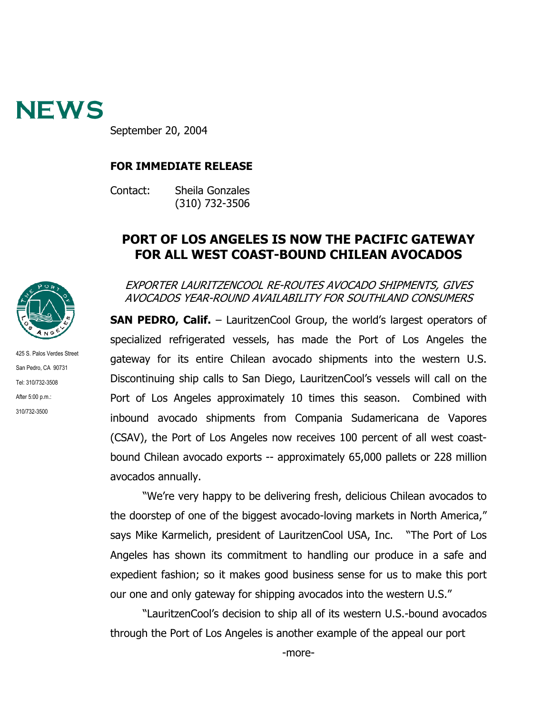

September 20, 2004

## **FOR IMMEDIATE RELEASE**

Contact: Sheila Gonzales (310) 732-3506

## **PORT OF LOS ANGELES IS NOW THE PACIFIC GATEWAY FOR ALL WEST COAST-BOUND CHILEAN AVOCADOS**



San Pedro, CA 90731 Tel: 310/732-3508 After 5:00 p.m.: 310/732-3500

425 S. Palos Verdes Street

EXPORTER LAURITZENCOOL RE-ROUTES AVOCADO SHIPMENTS, GIVES AVOCADOS YEAR-ROUND AVAILABILITY FOR SOUTHLAND CONSUMERS

**SAN PEDRO, Calif.** – LauritzenCool Group, the world's largest operators of specialized refrigerated vessels, has made the Port of Los Angeles the gateway for its entire Chilean avocado shipments into the western U.S. Discontinuing ship calls to San Diego, LauritzenCool's vessels will call on the Port of Los Angeles approximately 10 times this season. Combined with inbound avocado shipments from Compania Sudamericana de Vapores (CSAV), the Port of Los Angeles now receives 100 percent of all west coastbound Chilean avocado exports -- approximately 65,000 pallets or 228 million avocados annually.

"We're very happy to be delivering fresh, delicious Chilean avocados to the doorstep of one of the biggest avocado-loving markets in North America," says Mike Karmelich, president of LauritzenCool USA, Inc. "The Port of Los Angeles has shown its commitment to handling our produce in a safe and expedient fashion; so it makes good business sense for us to make this port our one and only gateway for shipping avocados into the western U.S."

"LauritzenCool's decision to ship all of its western U.S.-bound avocados through the Port of Los Angeles is another example of the appeal our port